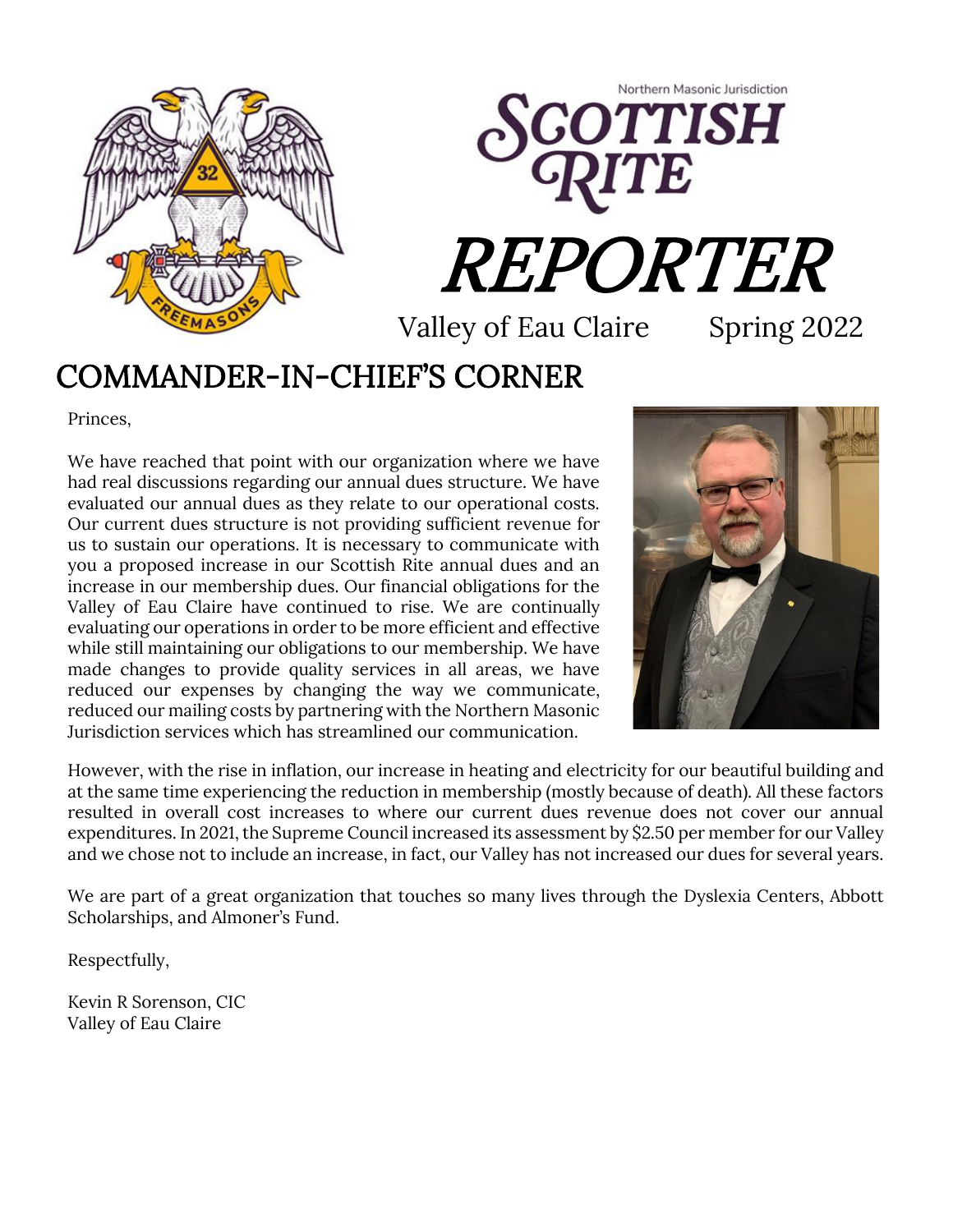



Valley of Eau Claire Spring 2022

#### COMMANDER-IN-CHIEF'S CORNER

Princes,

We have reached that point with our organization where we have had real discussions regarding our annual dues structure. We have evaluated our annual dues as they relate to our operational costs. Our current dues structure is not providing sufficient revenue for us to sustain our operations. It is necessary to communicate with you a proposed increase in our Scottish Rite annual dues and an increase in our membership dues. Our financial obligations for the Valley of Eau Claire have continued to rise. We are continually evaluating our operations in order to be more efficient and effective while still maintaining our obligations to our membership. We have made changes to provide quality services in all areas, we have reduced our expenses by changing the way we communicate, reduced our mailing costs by partnering with the Northern Masonic Jurisdiction services which has streamlined our communication.



However, with the rise in inflation, our increase in heating and electricity for our beautiful building and at the same time experiencing the reduction in membership (mostly because of death). All these factors resulted in overall cost increases to where our current dues revenue does not cover our annual expenditures. In 2021, the Supreme Council increased its assessment by \$2.50 per member for our Valley and we chose not to include an increase, in fact, our Valley has not increased our dues for several years.

We are part of a great organization that touches so many lives through the Dyslexia Centers, Abbott<br>Scholarshins, and Almoner's Fund. Scholarships, and Almoner's Fund.

Respectfully,

Kevin R Sorenson, CIC Valley of Eau Claire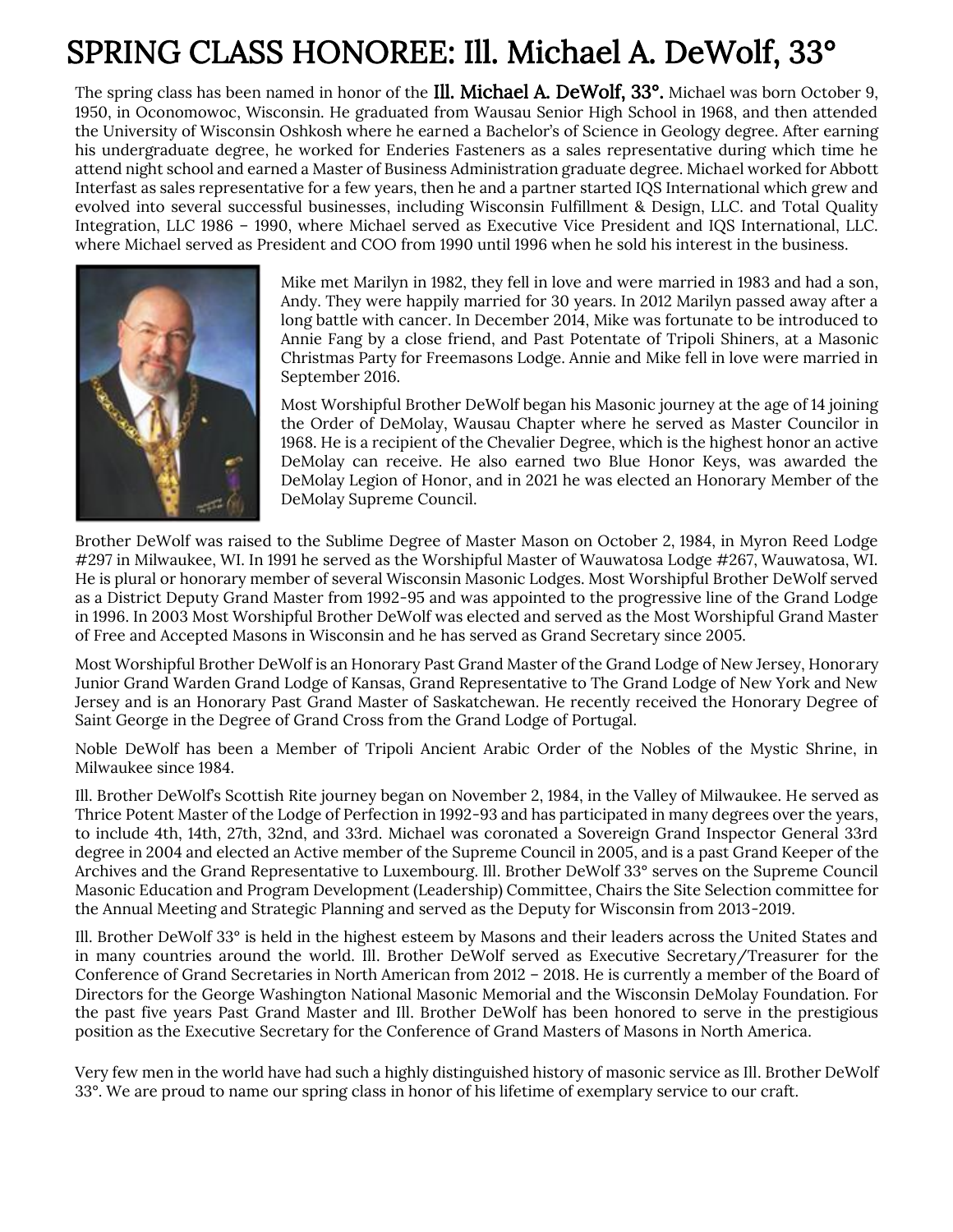#### SPRING CLASS HONOREE: Ill. Michael A. DeWolf, 33°

The spring class has been named in honor of the Ill. Michael A. DeWolf, 33°. Michael was born October 9, 1950, in Oconomowoc, Wisconsin. He graduated from Wausau Senior High School in 1968, and then attended the University of Wisconsin Oshkosh where he earned a Bachelor's of Science in Geology degree. After earning his undergraduate degree, he worked for Enderies Fasteners as a sales representative during which time he attend night school and earned a Master of Business Administration graduate degree. Michael worked for Abbott Interfast as sales representative for a few years, then he and a partner started IQS International which grew and evolved into several successful businesses, including Wisconsin Fulfillment & Design, LLC. and Total Quality Integration, LLC 1986 – 1990, where Michael served as Executive Vice President and IQS International, LLC. where Michael served as President and COO from 1990 until 1996 when he sold his interest in the business.



Mike met Marilyn in 1982, they fell in love and were married in 1983 and had a son, Andy. They were happily married for 30 years. In 2012 Marilyn passed away after a long battle with cancer. In December 2014, Mike was fortunate to be introduced to Annie Fang by a close friend, and Past Potentate of Tripoli Shiners, at a Masonic Christmas Party for Freemasons Lodge. Annie and Mike fell in love were married in September 2016.

Most Worshipful Brother DeWolf began his Masonic journey at the age of 14 joining the Order of DeMolay, Wausau Chapter where he served as Master Councilor in 1968. He is a recipient of the Chevalier Degree, which is the highest honor an active DeMolay can receive. He also earned two Blue Honor Keys, was awarded the DeMolay Legion of Honor, and in 2021 he was elected an Honorary Member of the DeMolay Supreme Council.

Brother DeWolf was raised to the Sublime Degree of Master Mason on October 2, 1984, in Myron Reed Lodge #297 in Milwaukee, WI. In 1991 he served as the Worshipful Master of Wauwatosa Lodge #267, Wauwatosa, WI. He is plural or honorary member of several Wisconsin Masonic Lodges. Most Worshipful Brother DeWolf served as a District Deputy Grand Master from 1992-95 and was appointed to the progressive line of the Grand Lodge in 1996. In 2003 Most Worshipful Brother DeWolf was elected and served as the Most Worshipful Grand Master of Free and Accepted Masons in Wisconsin and he has served as Grand Secretary since 2005.

Most Worshipful Brother DeWolf is an Honorary Past Grand Master of the Grand Lodge of New Jersey, Honorary Junior Grand Warden Grand Lodge of Kansas, Grand Representative to The Grand Lodge of New York and New Jersey and is an Honorary Past Grand Master of Saskatchewan. He recently received the Honorary Degree of Saint George in the Degree of Grand Cross from the Grand Lodge of Portugal.

Noble DeWolf has been a Member of Tripoli Ancient Arabic Order of the Nobles of the Mystic Shrine, in Milwaukee since 1984.

Ill. Brother DeWolf's Scottish Rite journey began on November 2, 1984, in the Valley of Milwaukee. He served as Thrice Potent Master of the Lodge of Perfection in 1992-93 and has participated in many degrees over the years, to include 4th, 14th, 27th, 32nd, and 33rd. Michael was coronated a Sovereign Grand Inspector General 33rd degree in 2004 and elected an Active member of the Supreme Council in 2005, and is a past Grand Keeper of the Archives and the Grand Representative to Luxembourg. Ill. Brother DeWolf 33° serves on the Supreme Council Masonic Education and Program Development (Leadership) Committee, Chairs the Site Selection committee for the Annual Meeting and Strategic Planning and served as the Deputy for Wisconsin from 2013-2019.

Ill. Brother DeWolf 33° is held in the highest esteem by Masons and their leaders across the United States and in many countries around the world. Ill. Brother DeWolf served as Executive Secretary/Treasurer for the Conference of Grand Secretaries in North American from 2012 – 2018. He is currently a member of the Board of Directors for the George Washington National Masonic Memorial and the Wisconsin DeMolay Foundation. For the past five years Past Grand Master and Ill. Brother DeWolf has been honored to serve in the prestigious position as the Executive Secretary for the Conference of Grand Masters of Masons in North America.

Very few men in the world have had such a highly distinguished history of masonic service as Ill. Brother DeWolf 33°. We are proud to name our spring class in honor of his lifetime of exemplary service to our craft.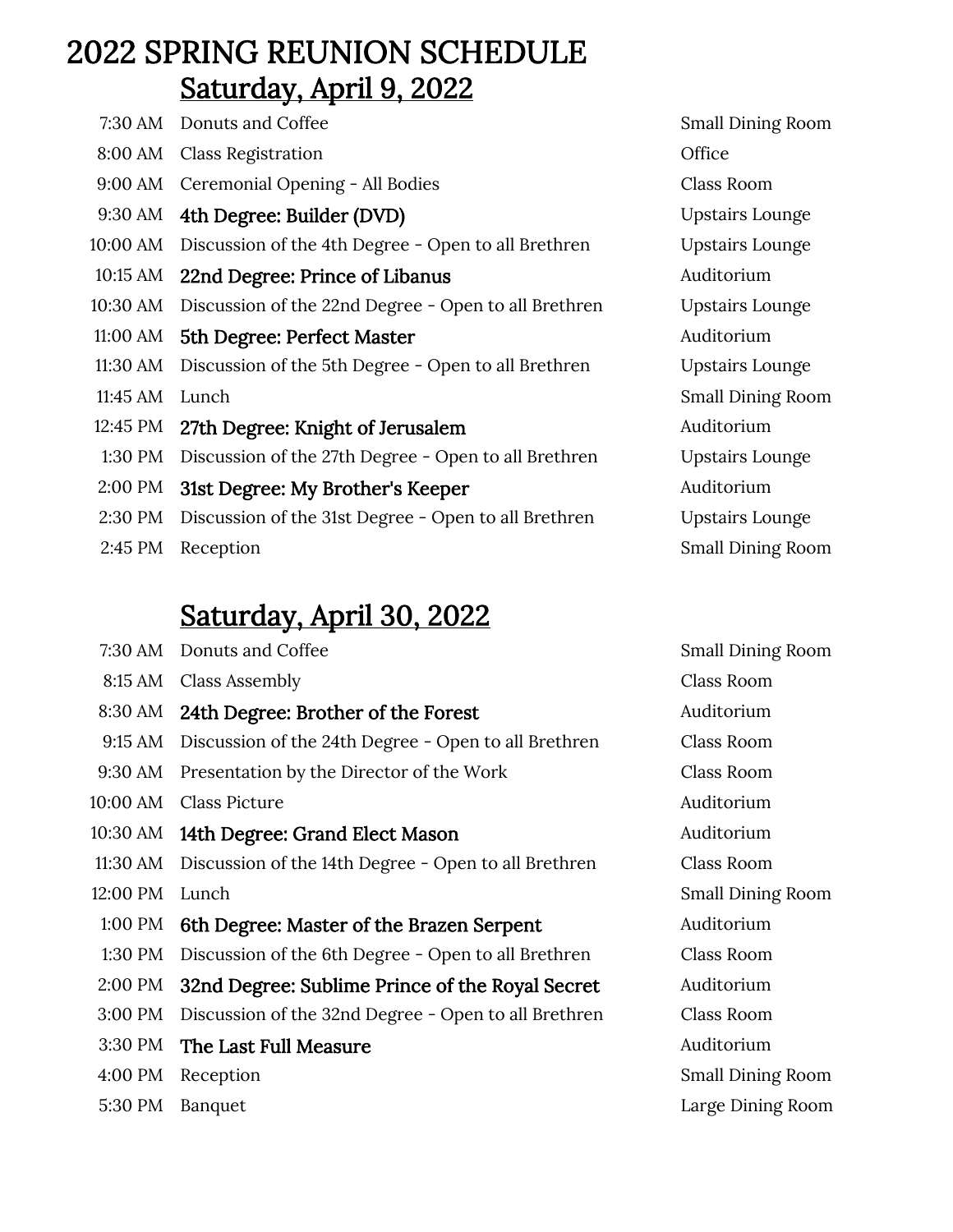#### 2022 SPRING REUNION SCHEDULE Saturday, April 9, 2022

|          | 7:30 AM Donuts and Coffee                            | <b>Small Dining Room</b> |
|----------|------------------------------------------------------|--------------------------|
|          | 8:00 AM Class Registration                           | Office                   |
|          | 9:00 AM Ceremonial Opening - All Bodies              | Class Room               |
| 9:30 AM  | 4th Degree: Builder (DVD)                            | <b>Upstairs Lounge</b>   |
| 10:00 AM | Discussion of the 4th Degree - Open to all Brethren  | <b>Upstairs Lounge</b>   |
| 10:15 AM | 22nd Degree: Prince of Libanus                       | Auditorium               |
| 10:30 AM | Discussion of the 22nd Degree - Open to all Brethren | <b>Upstairs Lounge</b>   |
| 11:00 AM | 5th Degree: Perfect Master                           | Auditorium               |
| 11:30 AM | Discussion of the 5th Degree - Open to all Brethren  | <b>Upstairs Lounge</b>   |
| 11:45 AM | Lunch                                                | <b>Small Dining Room</b> |
| 12:45 PM | 27th Degree: Knight of Jerusalem                     | Auditorium               |
| 1:30 PM  | Discussion of the 27th Degree - Open to all Brethren | <b>Upstairs Lounge</b>   |
| 2:00 PM  | 31st Degree: My Brother's Keeper                     | Auditorium               |
| 2:30 PM  | Discussion of the 31st Degree - Open to all Brethren | <b>Upstairs Lounge</b>   |
| 2:45 PM  | Reception                                            | <b>Small Dining Room</b> |

#### Saturday, April 30, 2022

| 7:30 AM  | Donuts and Coffee                                    | <b>Small Dining Room</b> |
|----------|------------------------------------------------------|--------------------------|
| 8:15 AM  | Class Assembly                                       | Class Room               |
| 8:30 AM  | 24th Degree: Brother of the Forest                   | Auditorium               |
| 9:15 AM  | Discussion of the 24th Degree - Open to all Brethren | Class Room               |
| 9:30 AM  | Presentation by the Director of the Work             | Class Room               |
| 10:00 AM | <b>Class Picture</b>                                 | Auditorium               |
|          | 10:30 AM 14th Degree: Grand Elect Mason              | Auditorium               |
| 11:30 AM | Discussion of the 14th Degree - Open to all Brethren | Class Room               |
| 12:00 PM | Lunch                                                | <b>Small Dining Room</b> |
| 1:00 PM  | 6th Degree: Master of the Brazen Serpent             | Auditorium               |
| 1:30 PM  | Discussion of the 6th Degree - Open to all Brethren  | Class Room               |
| 2:00 PM  | 32nd Degree: Sublime Prince of the Royal Secret      | Auditorium               |
| 3:00 PM  | Discussion of the 32nd Degree - Open to all Brethren | Class Room               |
| 3:30 PM  | The Last Full Measure                                | Auditorium               |
| 4:00 PM  | Reception                                            | <b>Small Dining Room</b> |
| 5:30 PM  | <b>Banquet</b>                                       | Large Dining Room        |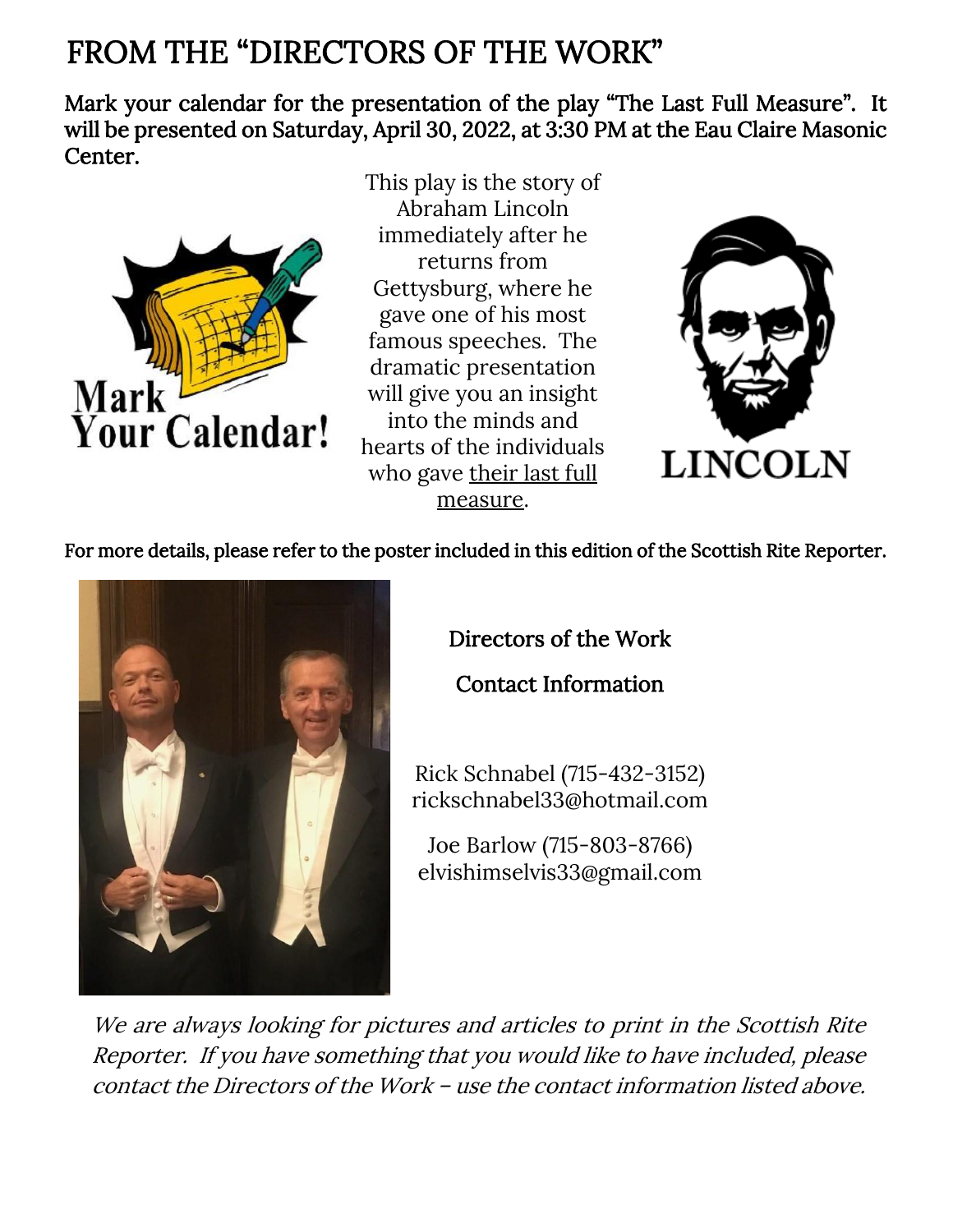#### FROM THE "DIRECTORS OF THE WORK"

Mark your calendar for the presentation of the play "The Last Full Measure". It will be presented on Saturday, April 30, 2022, at 3:30 PM at the Eau Claire Masonic Center.



This play is the story of Abraham Lincoln immediately after he returns from Gettysburg, where he gave one of his most famous speeches. The dramatic presentation will give you an insight into the minds and hearts of the individuals who gave their last full measure.



For more details, please refer to the poster included in this edition of the Scottish Rite Reporter.



Directors of the Work

Contact Information

Rick Schnabel (715-432-3152) [rickschnabel33@hotmail.com](mailto:rickschnabel33@hotmail.com)

Joe Barlow (715-803-8766) elvishimselvis33@gmail.com

We are always looking for pictures and articles to print in the Scottish Rite Reporter. If you have something that you would like to have included, please contact the Directors of the Work – use the contact information listed above.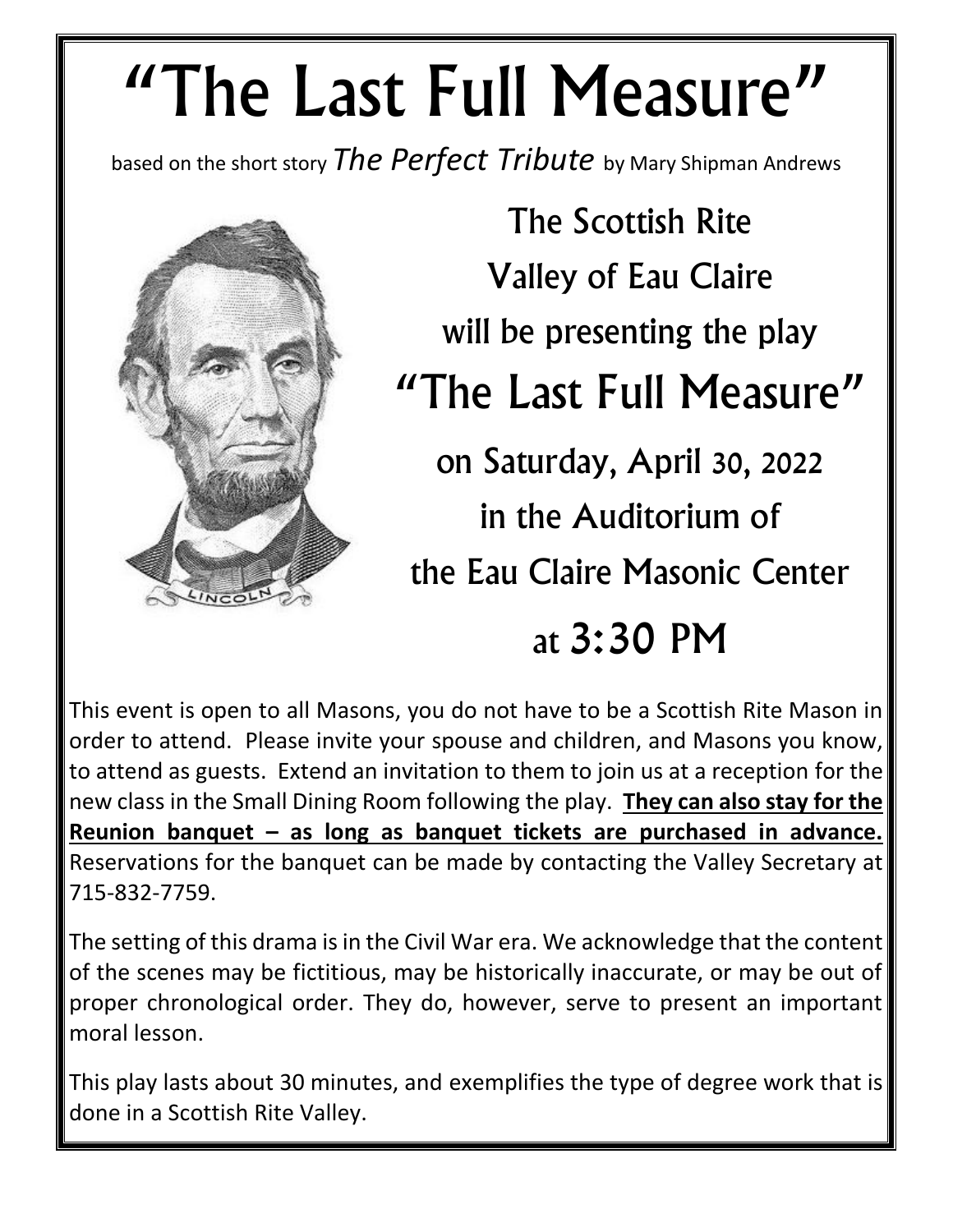# "The Last Full Measure"

based on the short story *The Perfect Tribute* by Mary Shipman Andrews



The Scottish Rite Valley of Eau Claire will be presenting the play "The Last Full Measure" on Saturday, April 30, 2022 in the Auditorium of the Eau Claire Masonic Center at 3:30 PM

This event is open to all Masons, you do not have to be a Scottish Rite Mason in order to attend. Please invite your spouse and children, and Masons you know, to attend as guests. Extend an invitation to them to join us at a reception for the new class in the Small Dining Room following the play. **They can also stay for the Reunion banquet – as long as banquet tickets are purchased in advance.** Reservations for the banquet can be made by contacting the Valley Secretary at 715-832-7759.

The setting of this drama is in the Civil War era. We acknowledge that the content of the scenes may be fictitious, may be historically inaccurate, or may be out of proper chronological order. They do, however, serve to present an important moral lesson.

This play lasts about 30 minutes, and exemplifies the type of degree work that is done in a Scottish Rite Valley.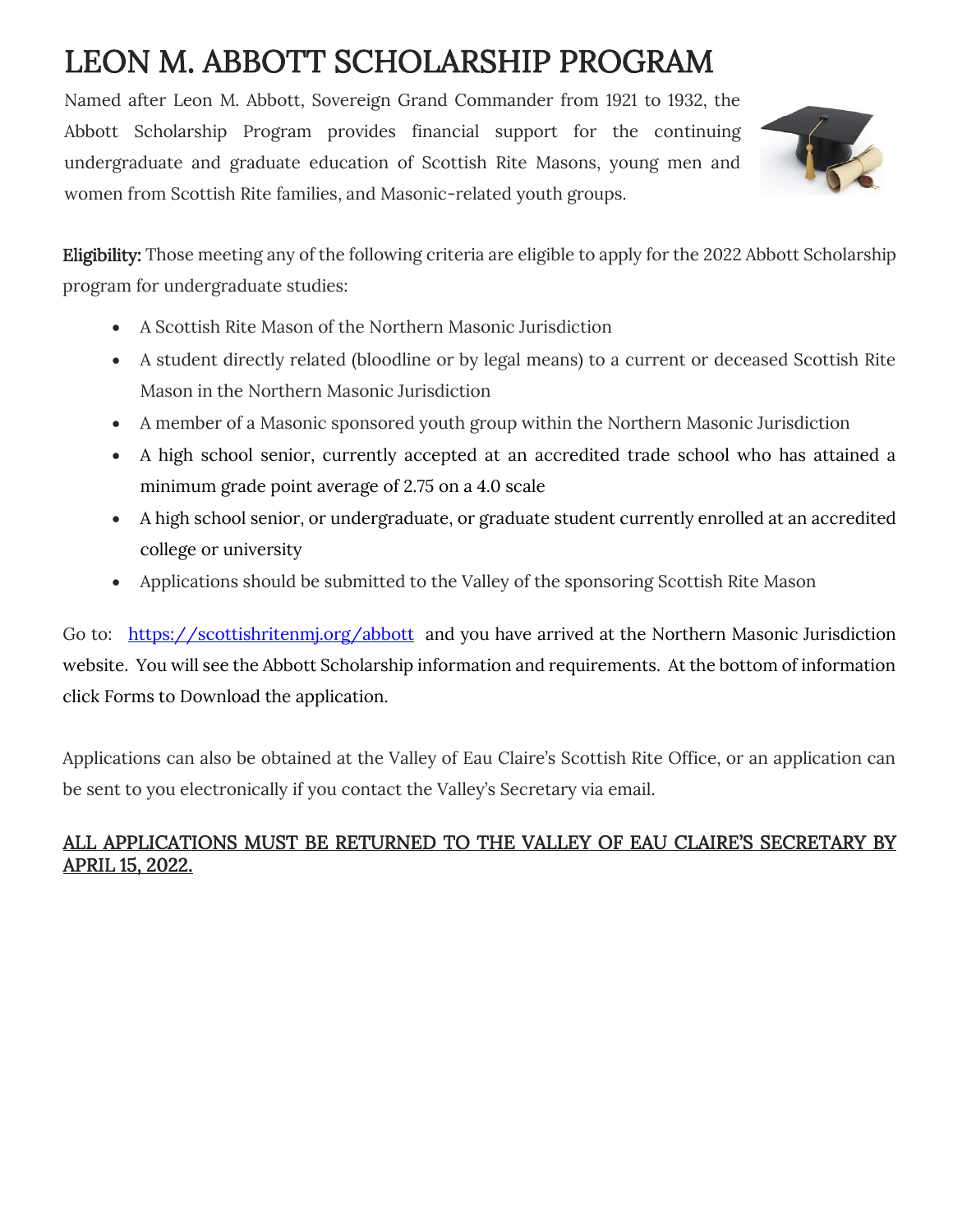# LEON M. ABBOTT SCHOLARSHIP PROGRAM

Named after Leon M. Abbott, Sovereign Grand Commander from 1921 to 1932, the Abbott Scholarship Program provides financial support for the continuing undergraduate and graduate education of Scottish Rite Masons, young men and women from Scottish Rite families, and Masonic-related youth groups.



Eligibility: Those meeting any of the following criteria are eligible to apply for the 2022 Abbott Scholarship program for undergraduate studies:

- A Scottish Rite Mason of the Northern Masonic Jurisdiction
- A student directly related (bloodline or by legal means) to a current or deceased Scottish Rite Mason in the Northern Masonic Jurisdiction
- A member of a Masonic sponsored youth group within the Northern Masonic Jurisdiction
- A high school senior, currently accepted at an accredited trade school who has attained a minimum grade point average of 2.75 on a 4.0 scale
- A high school senior, or undergraduate, or graduate student currently enrolled at an accredited college or university
- Applications should be submitted to the Valley of the sponsoring Scottish Rite Mason

Go to: https://scottishritenmi.org/abbott and you have arrived at the Northern Masonic Jurisdiction website. You will see the Abbott Scholarship information and requirements. At the bottom of information click Forms to Download the application.

Applications can also be obtained at the Valley of Eau Claire's Scottish Rite Office, or an application can be sent to you electronically if you contact the Valley's Secretary via email.

#### ALL APPLICATIONS MUST BE RETURNED TO THE VALLEY OF EAU CLAIRE'S SECRETARY BY APRIL 15, 2022.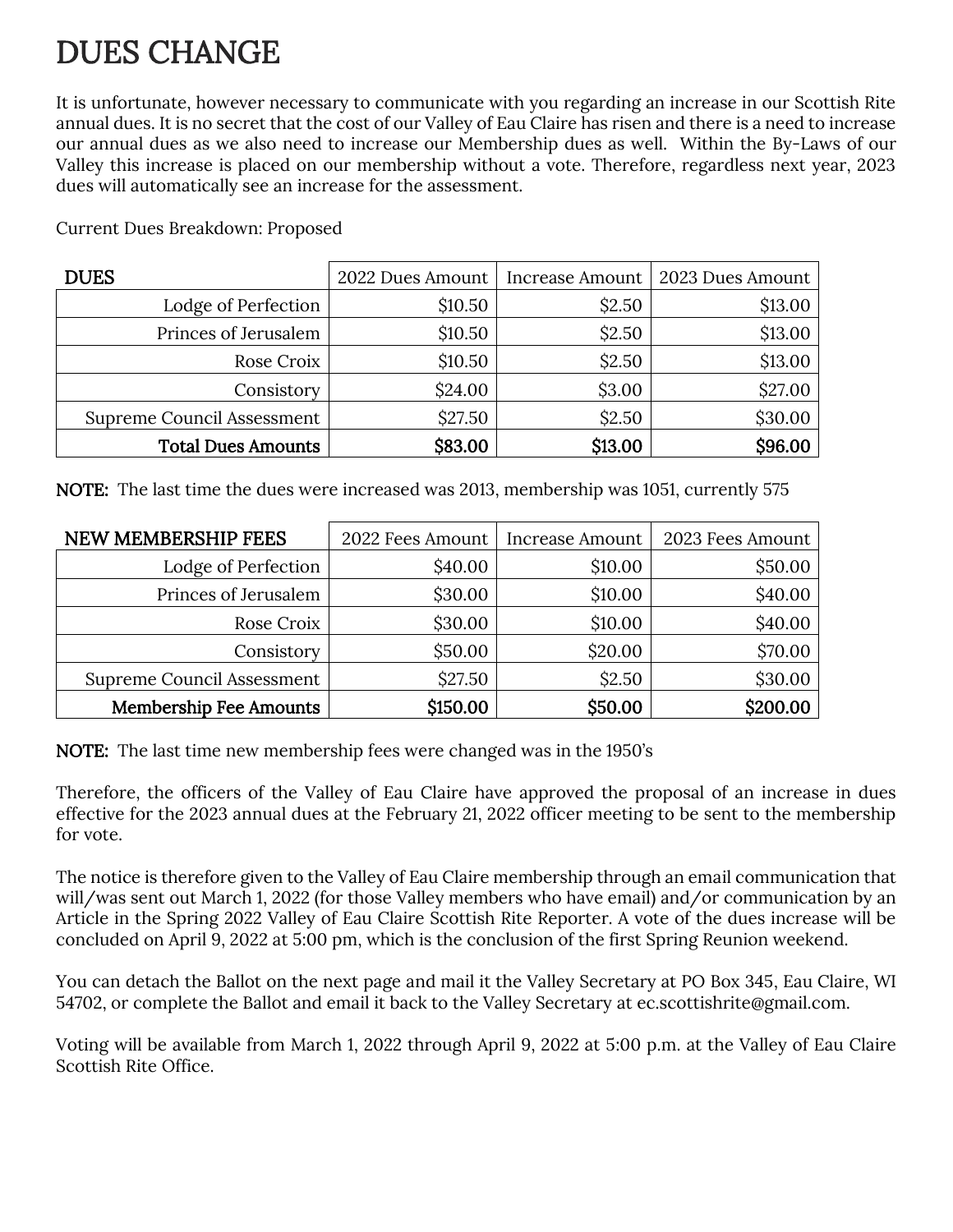## DUES CHANGE

It is unfortunate, however necessary to communicate with you regarding an increase in our Scottish Rite annual dues. It is no secret that the cost of our Valley of Eau Claire has risen and there is a need to increase our annual dues as we also need to increase our Membership dues as well. Within the By-Laws of our Valley this increase is placed on our membership without a vote. Therefore, regardless next year, 2023 dues will automatically see an increase for the assessment.

| <b>DUES</b>                | 2022 Dues Amount | Increase Amount | 2023 Dues Amount |
|----------------------------|------------------|-----------------|------------------|
| Lodge of Perfection        | \$10.50          | \$2.50          | \$13.00          |
| Princes of Jerusalem       | \$10.50          | \$2.50          | \$13.00          |
| Rose Croix                 | \$10.50          | \$2.50          | \$13.00          |
| Consistory                 | \$24.00          | \$3.00          | \$27.00          |
| Supreme Council Assessment | \$27.50          | \$2.50          | \$30.00          |
| <b>Total Dues Amounts</b>  | \$83.00          | \$13.00         | \$96.00          |

Current Dues Breakdown: Proposed

NOTE: The last time the dues were increased was 2013, membership was 1051, currently 575

| NEW MEMBERSHIP FEES               | 2022 Fees Amount | Increase Amount | 2023 Fees Amount |
|-----------------------------------|------------------|-----------------|------------------|
| Lodge of Perfection               | \$40.00          | \$10.00         | \$50.00          |
| Princes of Jerusalem              | \$30.00          | \$10.00         | \$40.00          |
| Rose Croix                        | \$30.00          | \$10.00         | \$40.00          |
| Consistory                        | \$50.00          | \$20.00         | \$70.00          |
| <b>Supreme Council Assessment</b> | \$27.50          | \$2.50          | \$30.00          |
| <b>Membership Fee Amounts</b>     | \$150.00         | \$50.00         | \$200.00         |

NOTE: The last time new membership fees were changed was in the 1950's

Therefore, the officers of the Valley of Eau Claire have approved the proposal of an increase in dues effective for the 2023 annual dues at the February 21, 2022 officer meeting to be sent to the membership for vote.

The notice is therefore given to the Valley of Eau Claire membership through an email communication that will/was sent out March 1, 2022 (for those Valley members who have email) and/or communication by an Article in the Spring 2022 Valley of Eau Claire Scottish Rite Reporter. A vote of the dues increase will be concluded on April 9, 2022 at 5:00 pm, which is the conclusion of the first Spring Reunion weekend.

You can detach the Ballot on the next page and mail it the Valley Secretary at PO Box 345, Eau Claire, WI 54702, or complete the Ballot and email it back to the Valley Secretary at [ec.scottishrite@gmail.com.](mailto:ec.scottishrite@gmail.com)

Voting will be available from March 1, 2022 through April 9, 2022 at 5:00 p.m. at the Valley of Eau Claire Scottish Rite Office.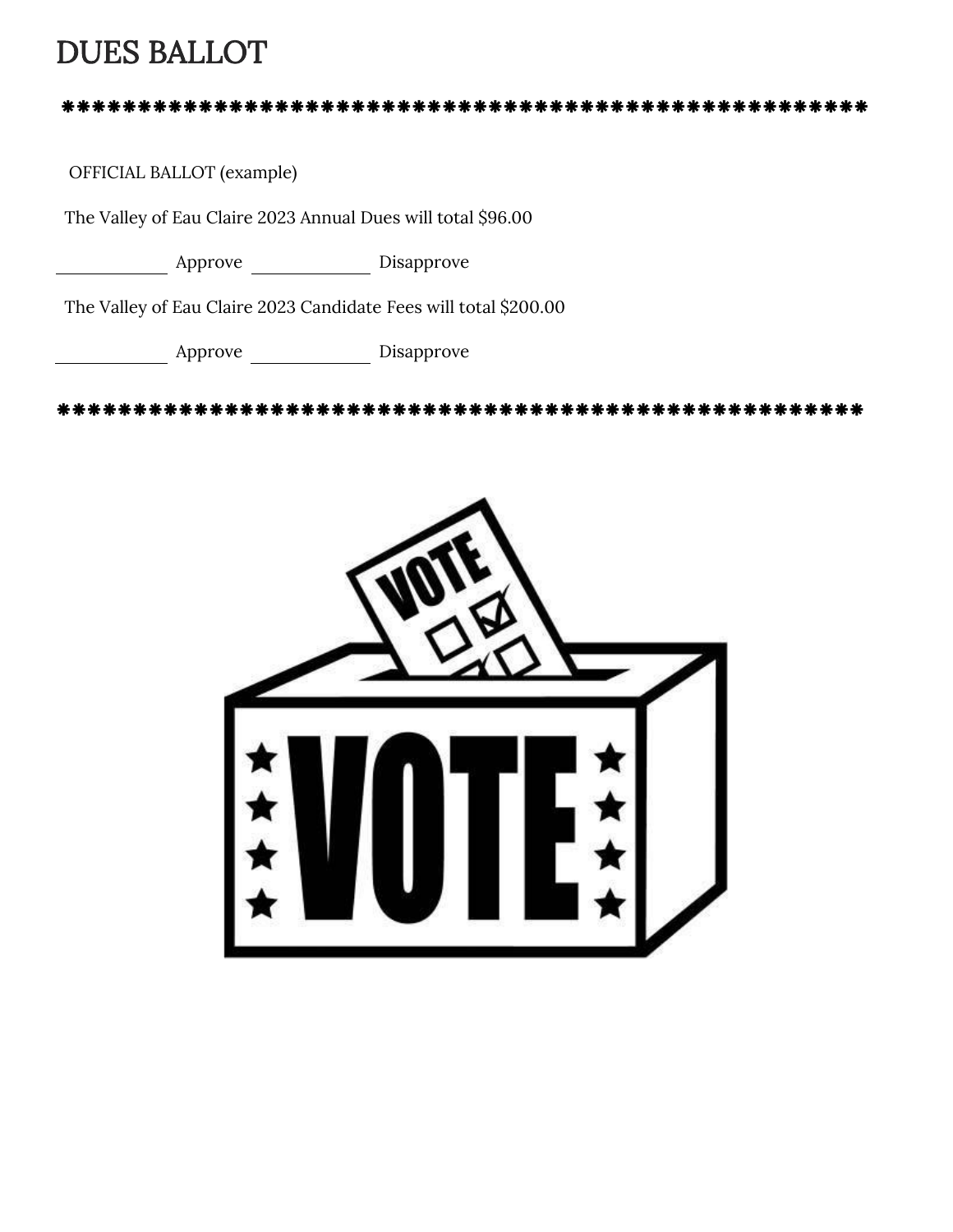#### DUES BALLOT

#### 

OFFICIAL BALLOT (example)

The Valley of Eau Claire 2023 Annual Dues will total \$96.00

Approve Disapprove

The Valley of Eau Claire 2023 Candidate Fees will total \$200.00

Approve Disapprove

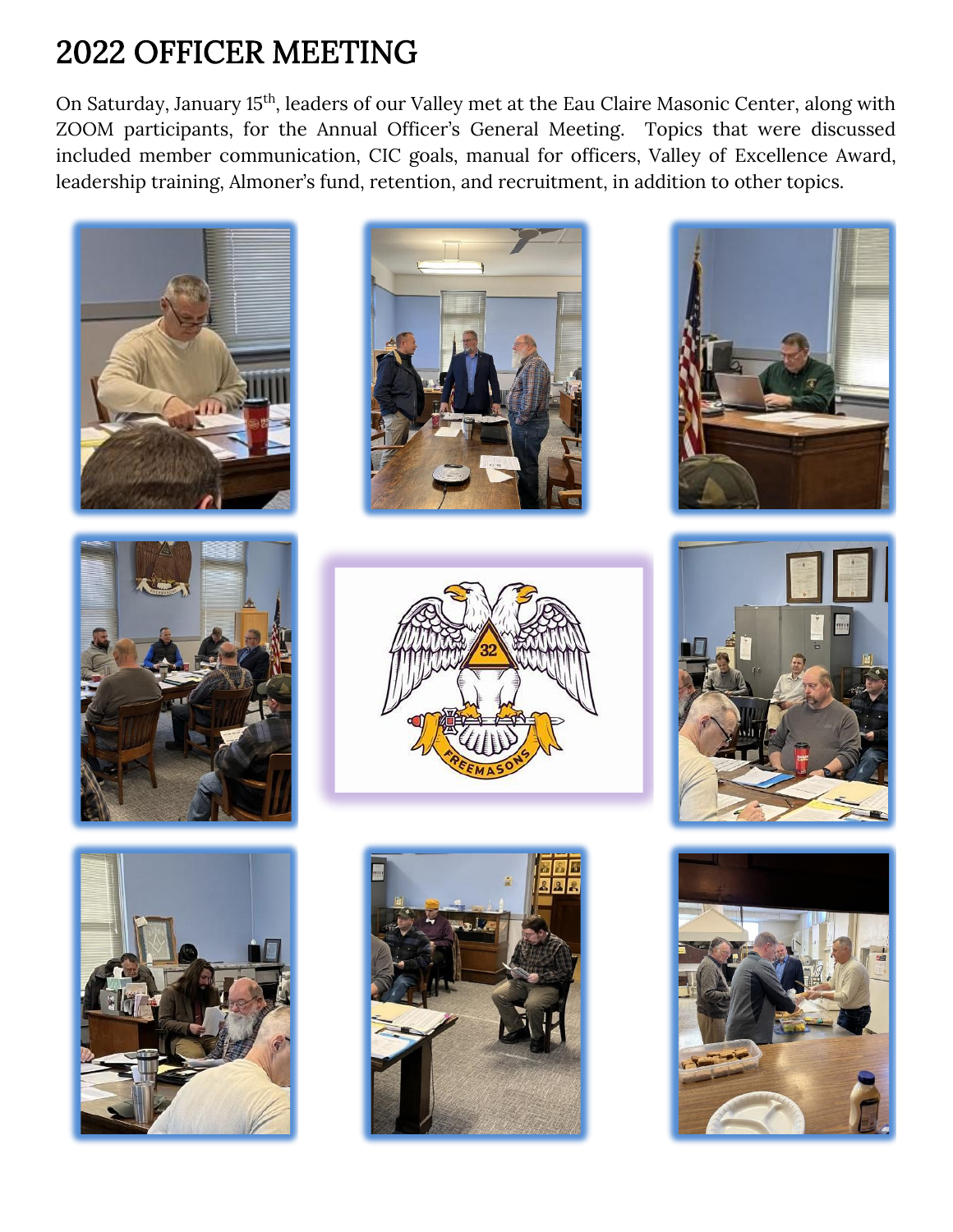## 2022 OFFICER MEETING

On Saturday, January 15th, leaders of our Valley met at the Eau Claire Masonic Center, along with ZOOM participants, for the Annual Officer's General Meeting. Topics that were discussed included member communication, CIC goals, manual for officers, Valley of Excellence Award, leadership training, Almoner's fund, retention, and recruitment, in addition to other topics.

















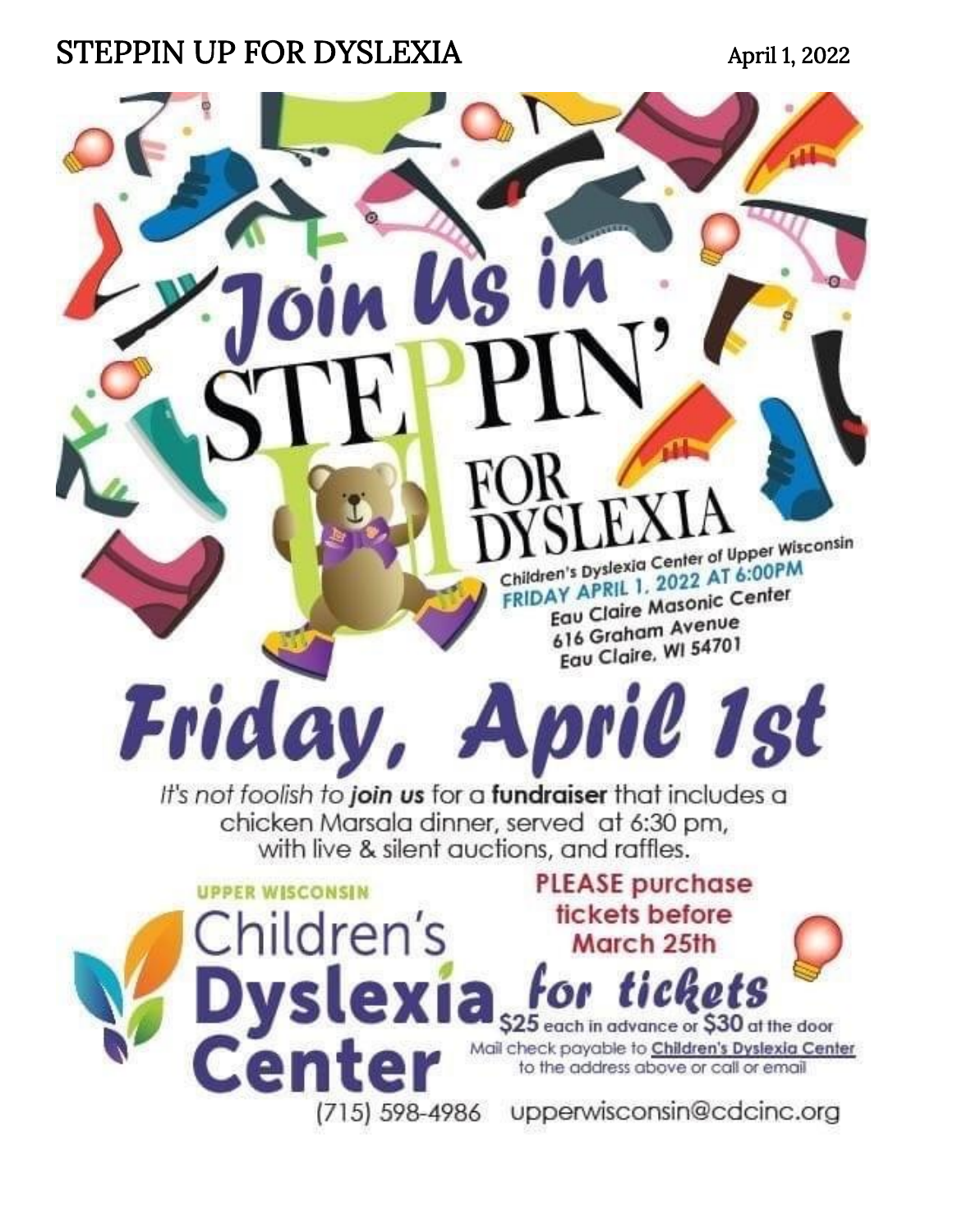#### STEPPIN UP FOR DYSLEXIA April 1, 2022

Friday,

**UPPER WISCONSIN** 

Children's

Cente

Dyslexia

(715) 598-4986

Children's Dyslexia Center of Upper Wisconsin Children's Dyslexia Center of Upper<br>FRIDAY APRIL 1, 2022 AT 6:00PM AY APRIL 1, 2022<br>Equ Claire Masonic Center 616 Graham Avenue Equ Claire, WI 54701

April 1st

**PLEASE purchase** 

tickets before

March 25th

for tickets

\$25 each in advance or \$30 at the door Mail check payable to Children's Dyslexia Center

to the address above or call or email

upperwisconsin@cdcinc.org

It's not foolish to join us for a fundraiser that includes a chicken Marsala dinner, served at 6:30 pm, with live & silent auctions, and raffles.

**US**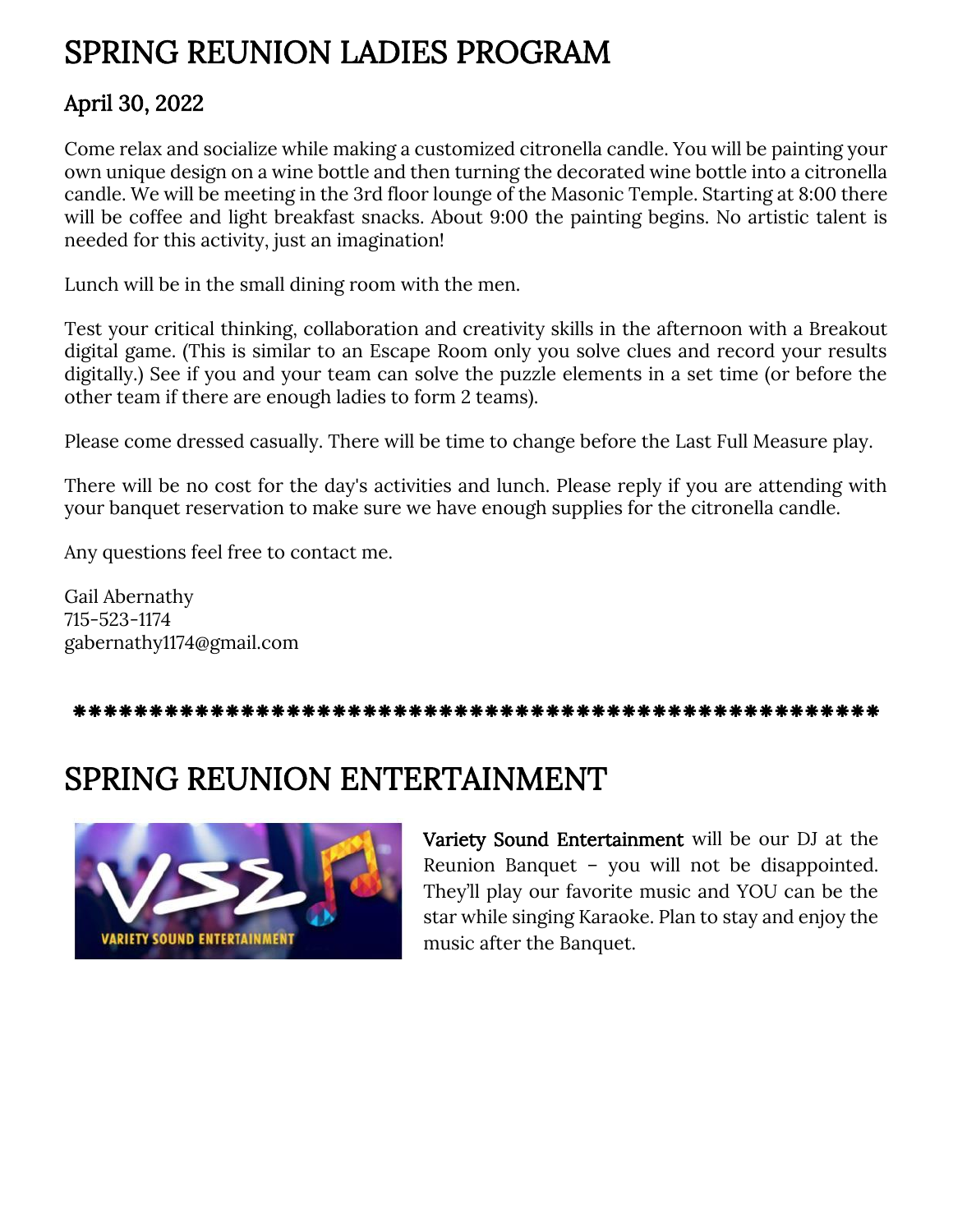#### SPRING REUNION LADIES PROGRAM

#### April 30, 2022

Come relax and socialize while making a customized citronella candle. You will be painting your own unique design on a wine bottle and then turning the decorated wine bottle into a citronella candle. We will be meeting in the 3rd floor lounge of the Masonic Temple. Starting at 8:00 there will be coffee and light breakfast snacks. About 9:00 the painting begins. No artistic talent is needed for this activity, just an imagination!

Lunch will be in the small dining room with the men.

Test your critical thinking, collaboration and creativity skills in the afternoon with a Breakout digital game. (This is similar to an Escape Room only you solve clues and record your results digitally.) See if you and your team can solve the puzzle elements in a set time (or before the other team if there are enough ladies to form 2 teams).

Please come dressed casually. There will be time to change before the Last Full Measure play.

There will be no cost for the day's activities and lunch. Please reply if you are attending with your banquet reservation to make sure we have enough supplies for the citronella candle.

Any questions feel free to contact me.

Gail Abernathy 715-523-1174 gabernathy1174@gmail.com

#### SPRING REUNION ENTERTAINMENT



Variety Sound Entertainment will be our DJ at the Reunion Banquet – you will not be disappointed. They'll play our favorite music and YOU can be the star while singing Karaoke. Plan to stay and enjoy the music after the Banquet.